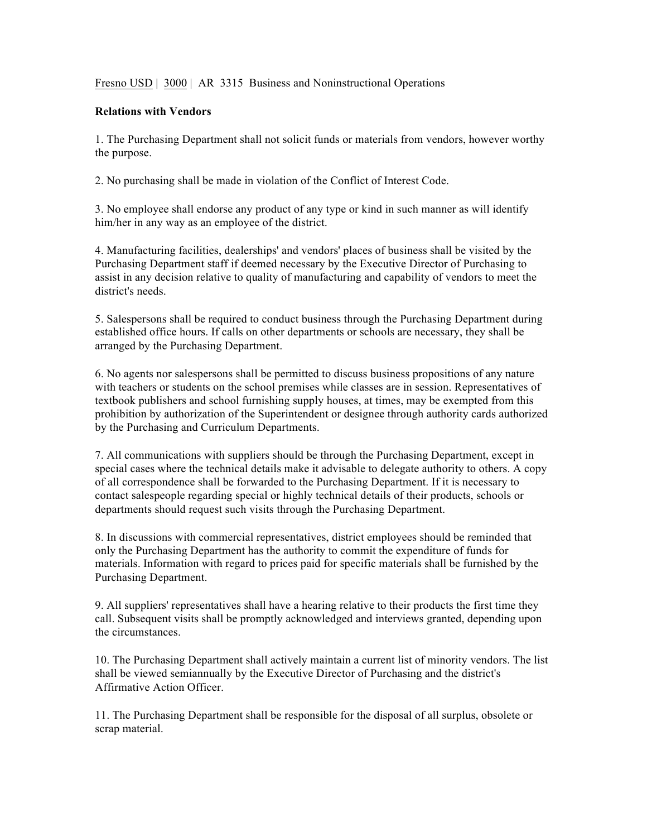Fresno USD | 3000 | AR 3315 Business and Noninstructional Operations

## **Relations with Vendors**

1. The Purchasing Department shall not solicit funds or materials from vendors, however worthy the purpose.

2. No purchasing shall be made in violation of the Conflict of Interest Code.

3. No employee shall endorse any product of any type or kind in such manner as will identify him/her in any way as an employee of the district.

4. Manufacturing facilities, dealerships' and vendors' places of business shall be visited by the Purchasing Department staff if deemed necessary by the Executive Director of Purchasing to assist in any decision relative to quality of manufacturing and capability of vendors to meet the district's needs.

5. Salespersons shall be required to conduct business through the Purchasing Department during established office hours. If calls on other departments or schools are necessary, they shall be arranged by the Purchasing Department.

6. No agents nor salespersons shall be permitted to discuss business propositions of any nature with teachers or students on the school premises while classes are in session. Representatives of textbook publishers and school furnishing supply houses, at times, may be exempted from this prohibition by authorization of the Superintendent or designee through authority cards authorized by the Purchasing and Curriculum Departments.

7. All communications with suppliers should be through the Purchasing Department, except in special cases where the technical details make it advisable to delegate authority to others. A copy of all correspondence shall be forwarded to the Purchasing Department. If it is necessary to contact salespeople regarding special or highly technical details of their products, schools or departments should request such visits through the Purchasing Department.

8. In discussions with commercial representatives, district employees should be reminded that only the Purchasing Department has the authority to commit the expenditure of funds for materials. Information with regard to prices paid for specific materials shall be furnished by the Purchasing Department.

9. All suppliers' representatives shall have a hearing relative to their products the first time they call. Subsequent visits shall be promptly acknowledged and interviews granted, depending upon the circumstances.

10. The Purchasing Department shall actively maintain a current list of minority vendors. The list shall be viewed semiannually by the Executive Director of Purchasing and the district's Affirmative Action Officer.

11. The Purchasing Department shall be responsible for the disposal of all surplus, obsolete or scrap material.